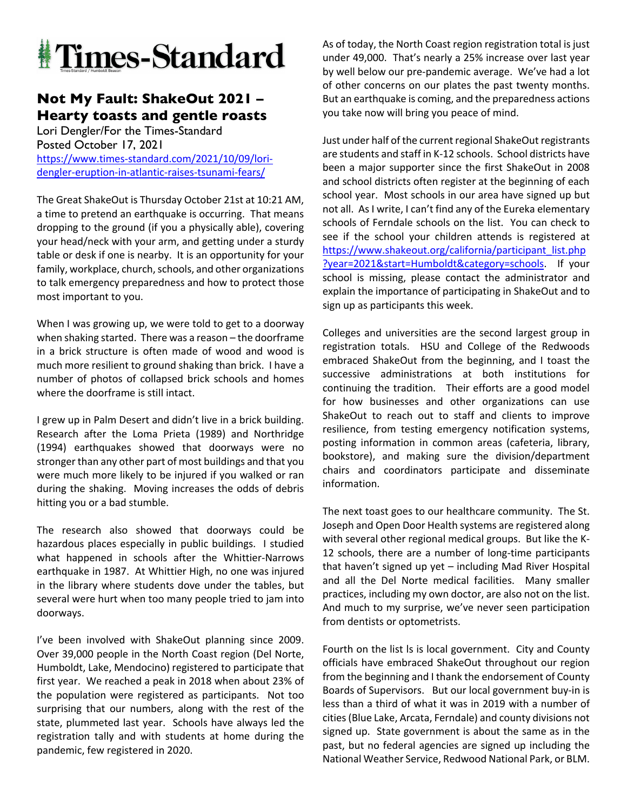

## **Not My Fault: ShakeOut 2021 – Hearty toasts and gentle roasts**

Lori Dengler/For the Times-Standard Posted October 17, 2021 https://www.times-standard.com/2021/10/09/loridengler-eruption-in-atlantic-raises-tsunami-fears/

The Great ShakeOut is Thursday October 21st at 10:21 AM, a time to pretend an earthquake is occurring. That means dropping to the ground (if you a physically able), covering your head/neck with your arm, and getting under a sturdy table or desk if one is nearby. It is an opportunity for your family, workplace, church, schools, and other organizations to talk emergency preparedness and how to protect those most important to you.

When I was growing up, we were told to get to a doorway when shaking started. There was a reason – the doorframe in a brick structure is often made of wood and wood is much more resilient to ground shaking than brick. I have a number of photos of collapsed brick schools and homes where the doorframe is still intact.

I grew up in Palm Desert and didn't live in a brick building. Research after the Loma Prieta (1989) and Northridge (1994) earthquakes showed that doorways were no stronger than any other part of most buildings and that you were much more likely to be injured if you walked or ran during the shaking. Moving increases the odds of debris hitting you or a bad stumble.

The research also showed that doorways could be hazardous places especially in public buildings. I studied what happened in schools after the Whittier-Narrows earthquake in 1987. At Whittier High, no one was injured in the library where students dove under the tables, but several were hurt when too many people tried to jam into doorways.

I've been involved with ShakeOut planning since 2009. Over 39,000 people in the North Coast region (Del Norte, Humboldt, Lake, Mendocino) registered to participate that first year. We reached a peak in 2018 when about 23% of the population were registered as participants. Not too surprising that our numbers, along with the rest of the state, plummeted last year. Schools have always led the registration tally and with students at home during the pandemic, few registered in 2020.

As of today, the North Coast region registration total is just under 49,000. That's nearly a 25% increase over last year by well below our pre-pandemic average. We've had a lot of other concerns on our plates the past twenty months. But an earthquake is coming, and the preparedness actions you take now will bring you peace of mind.

Just under half of the current regional ShakeOut registrants are students and staff in K-12 schools. School districts have been a major supporter since the first ShakeOut in 2008 and school districts often register at the beginning of each school year. Most schools in our area have signed up but not all. As I write, I can't find any of the Eureka elementary schools of Ferndale schools on the list. You can check to see if the school your children attends is registered at https://www.shakeout.org/california/participant\_list.php ?year=2021&start=Humboldt&category=schools. If your school is missing, please contact the administrator and explain the importance of participating in ShakeOut and to sign up as participants this week.

Colleges and universities are the second largest group in registration totals. HSU and College of the Redwoods embraced ShakeOut from the beginning, and I toast the successive administrations at both institutions for continuing the tradition. Their efforts are a good model for how businesses and other organizations can use ShakeOut to reach out to staff and clients to improve resilience, from testing emergency notification systems, posting information in common areas (cafeteria, library, bookstore), and making sure the division/department chairs and coordinators participate and disseminate information.

The next toast goes to our healthcare community. The St. Joseph and Open Door Health systems are registered along with several other regional medical groups. But like the K-12 schools, there are a number of long-time participants that haven't signed up yet – including Mad River Hospital and all the Del Norte medical facilities. Many smaller practices, including my own doctor, are also not on the list. And much to my surprise, we've never seen participation from dentists or optometrists.

Fourth on the list ls is local government. City and County officials have embraced ShakeOut throughout our region from the beginning and I thank the endorsement of County Boards of Supervisors. But our local government buy-in is less than a third of what it was in 2019 with a number of cities (Blue Lake, Arcata, Ferndale) and county divisions not signed up. State government is about the same as in the past, but no federal agencies are signed up including the National Weather Service, Redwood National Park, or BLM.